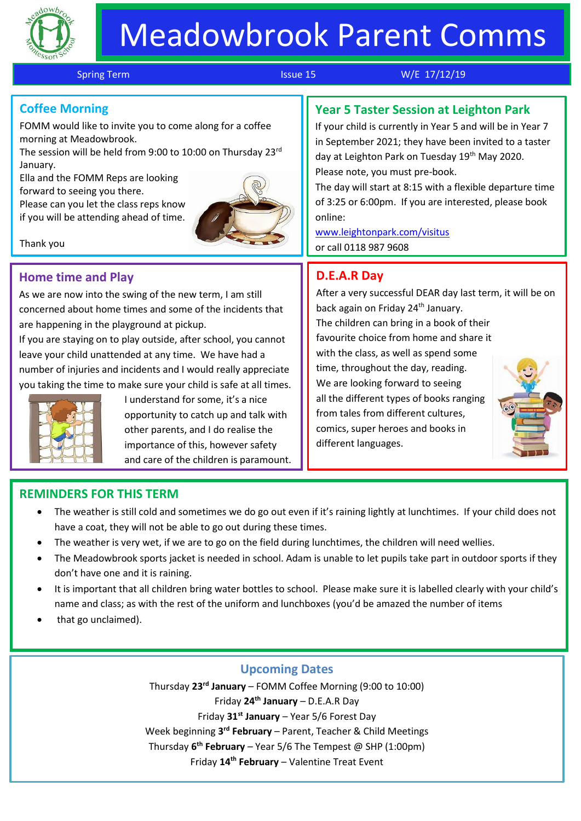

# Meadowbrook Parent Comms

j

Spring Term **Issue 15** W/E 17/12/19

# **Coffee Morning**

FOMM would like to invite you to come along for a coffee morning at Meadowbrook.

The session will be held from 9:00 to 10:00 on Thursday 23rd January.

Ella and the FOMM Reps are looking forward to seeing you there.

Please can you let the class reps know if you will be attending ahead of time.



#### Thank you

## **Home time and Play**

As we are now into the swing of the new term, I am still concerned about home times and some of the incidents that are happening in the playground at pickup.

If you are staying on to play outside, after school, you cannot leave your child unattended at any time. We have had a number of injuries and incidents and I would really appreciate you taking the time to make sure your child is safe at all times.



Thank you

I understand for some, it's a nice opportunity to catch up and talk with other parents, and I do realise the importance of this, however safety and care of the children is paramount.

# **Year 5 Taster Session at Leighton Park**

If your child is currently in Year 5 and will be in Year 7 in September 2021; they have been invited to a taster day at Leighton Park on Tuesday 19<sup>th</sup> May 2020. Please note, you must pre-book.

The day will start at 8:15 with a flexible departure time of 3:25 or 6:00pm. If you are interested, please book online:

[www.leightonpark.com/visitus](http://www.leightonpark.com/visitus) or call 0118 987 9608

## **D.E.A.R Day**

After a very successful DEAR day last term, it will be on back again on Friday 24<sup>th</sup> January. The children can bring in a book of their favourite choice from home and share it with the class, as well as spend some time, throughout the day, reading. We are looking forward to seeing all the different types of books ranging from tales from different cultures, comics, super heroes and books in different languages.

#### **REMINDERS FOR THIS TERM**

- The weather is still cold and sometimes we do go out even if it's raining lightly at lunchtimes. If your child does not have a coat, they will not be able to go out during these times.
- The weather is very wet, if we are to go on the field during lunchtimes, the children will need wellies.
- The Meadowbrook sports jacket is needed in school. Adam is unable to let pupils take part in outdoor sports if they don't have one and it is raining.
- It is important that all children bring water bottles to school. Please make sure it is labelled clearly with your child's name and class; as with the rest of the uniform and lunchboxes (you'd be amazed the number of items
- that go unclaimed).

#### **Upcoming Dates**

Thursday **23rd January** – FOMM Coffee Morning (9:00 to 10:00) Friday **24th January** – D.E.A.R Day Friday **31st January** – Year 5/6 Forest Day Week beginning 3<sup>rd</sup> February – Parent, Teacher & Child Meetings Thursday **6 th February** – Year 5/6 The Tempest @ SHP (1:00pm) Friday **14th February** – Valentine Treat Event